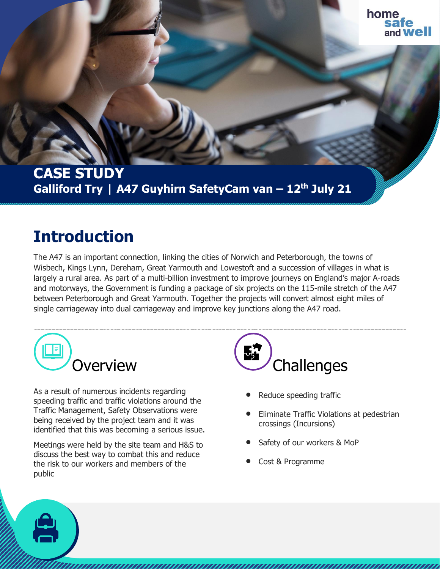## **CASE STUDY Galliford Try | A47 Guyhirn SafetyCam van – 12th July 21**

## **Introduction**

The A47 is an important connection, linking the cities of Norwich and Peterborough, the towns of Wisbech, Kings Lynn, Dereham, Great Yarmouth and Lowestoft and a succession of villages in what is largely a rural area. As part of a multi-billion investment to improve journeys on England's major A-roads and motorways, the Government is funding a package of six projects on the 115-mile stretch of the A47 between Peterborough and Great Yarmouth. Together the projects will convert almost eight miles of single carriageway into dual carriageway and improve key junctions along the A47 road.



As a result of numerous incidents regarding speeding traffic and traffic violations around the Traffic Management, Safety Observations were being received by the project team and it was identified that this was becoming a serious issue.

Meetings were held by the site team and H&S to discuss the best way to combat this and reduce the risk to our workers and members of the public



- Reduce speeding traffic
- Eliminate Traffic Violations at pedestrian crossings (Incursions)
- Safety of our workers & MoP
- Cost & Programme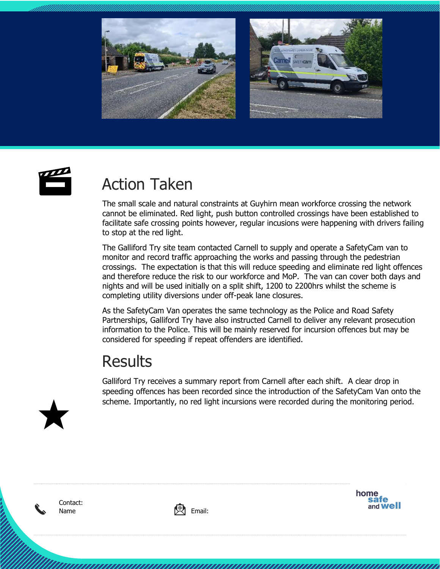





## Action Taken

The small scale and natural constraints at Guyhirn mean workforce crossing the network cannot be eliminated. Red light, push button controlled crossings have been established to facilitate safe crossing points however, regular incusions were happening with drivers failing to stop at the red light.

The Galliford Try site team contacted Carnell to supply and operate a SafetyCam van to monitor and record traffic approaching the works and passing through the pedestrian crossings. The expectation is that this will reduce speeding and eliminate red light offences and therefore reduce the risk to our workforce and MoP. The van can cover both days and nights and will be used initially on a split shift, 1200 to 2200hrs whilst the scheme is completing utility diversions under off-peak lane closures.

As the SafetyCam Van operates the same technology as the Police and Road Safety Partnerships, Galliford Try have also instructed Carnell to deliver any relevant prosecution information to the Police. This will be mainly reserved for incursion offences but may be considered for speeding if repeat offenders are identified.

## **Results**

Galliford Try receives a summary report from Carnell after each shift. A clear drop in speeding offences has been recorded since the introduction of the SafetyCam Van onto the scheme. Importantly, no red light incursions were recorded during the monitoring period.



Contact: